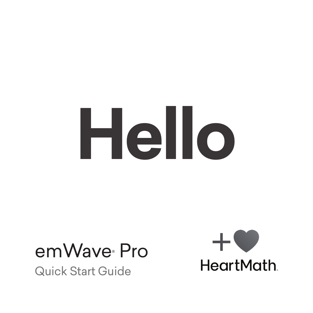# **Hello**

# emWaye<sup>®</sup> Pro

Quick Start Guide

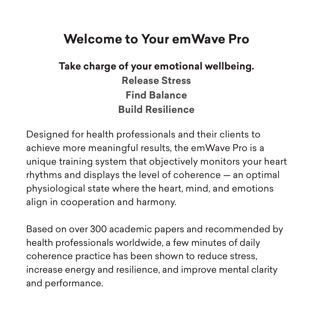# **Welcome to Your emWave Pro**

# **Take charge of your emotional wellbeing. Release Stress Find Balance Build Resilience**

Designed for health professionals and their clients to achieve more meaningful results, the emWave Pro is a unique training system that objectively monitors your heart rhythms and displays the level of coherence — an optimal physiological state where the heart, mind, and emotions align in cooperation and harmony.

Based on over 300 academic papers and recommended by health professionals worldwide, a few minutes of daily coherence practice has been shown to reduce stress, increase energy and resilience, and improve mental clarity and performance.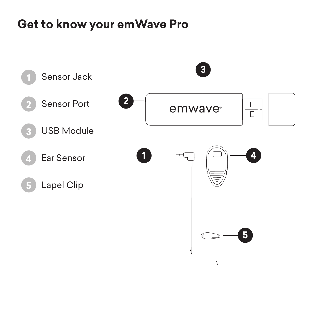# **Get to know your emWave Pro**

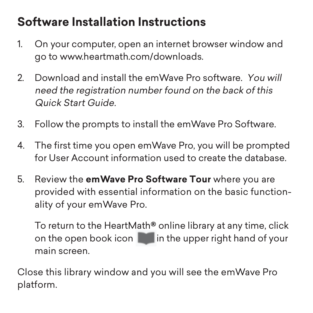# **Software Installation Instructions**

- 1. On your computer, open an internet browser window and go to www.heartmath.com/downloads.
- 2. Download and install the emWave Pro software. You will need the registration number found on the back of this Quick Start Guide.
- 3. Follow the prompts to install the emWave Pro Software.
- 4. The first time you open emWave Pro, you will be prompted for User Account information used to create the database.
- 5. Review the **emWave Pro Software Tour** where you are provided with essential information on the basic functionality of your emWave Pro.

To return to the HeartMath**®** online library at any time, click on the open book icon  $\|\cdot\|$  in the upper right hand of your main screen.

Close this library window and you will see the emWave Pro platform.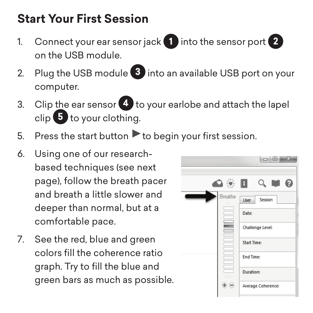# **Start Your First Session**

- 1. Connect your ear sensor jack **1** into the sensor port **2** on the USB module.
- 2. Plug the USB module **3** into an available USB port on your computer.
- 3. Clip the ear sensor **4** to your earlobe and attach the lapel clip **5** to your clothing.
- 5. Press the start button  $\blacktriangleright$  to begin your first session.
- 6. Using one of our researchbased techniques (see next page), follow the breath pacer and breath a little slower and deeper than normal, but at a comfortable pace.
- 7. See the red, blue and green colors fill the coherence ratio graph. Try to fill the blue and green bars as much as possible.

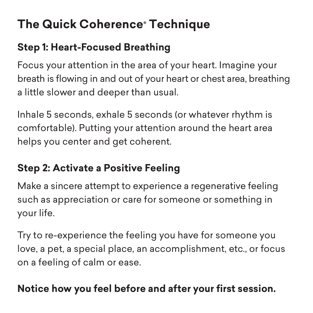# **The Quick Coherence® Technique**

### **Step 1: Heart-Focused Breathing**

Focus your attention in the area of your heart. Imagine your breath is flowing in and out of your heart or chest area, breathing a little slower and deeper than usual.

Inhale 5 seconds, exhale 5 seconds (or whatever rhythm is comfortable). Putting your attention around the heart area helps you center and get coherent.

### **Step 2: Activate a Positive Feeling**

Make a sincere attempt to experience a regenerative feeling such as appreciation or care for someone or something in your life.

Try to re-experience the feeling you have for someone you love, a pet, a special place, an accomplishment, etc., or focus on a feeling of calm or ease.

### **Notice how you feel before and after your first session.**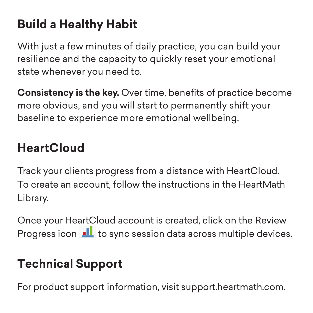# **Build a Healthy Habit**

With just a few minutes of daily practice, you can build your resilience and the capacity to quickly reset your emotional state whenever you need to.

**Consistency is the key.** Over time, benefits of practice become more obvious, and you will start to permanently shift your baseline to experience more emotional wellbeing.

# **HeartCloud**

Track your clients progress from a distance with HeartCloud. To create an account, follow the instructions in the HeartMath Library.

Once your HeartCloud account is created, click on the Review Progress icon  $\blacksquare$  to sync session data across multiple devices.

# **Technical Support**

For product support information, visit support.heartmath.com.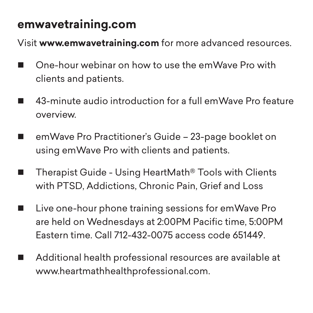### **emwavetraining.com**

Visit **www.emwavetraining.com** for more advanced resources.

- $\Box$  One-hour webinar on how to use the emWave Pro with clients and patients.
- 43-minute audio introduction for a full emWave Pro feature overview.
- $\blacksquare$  emWave Pro Practitioner's Guide 23-page booklet on using emWave Pro with clients and patients.
- $\blacksquare$  Therapist Guide Using HeartMath® Tools with Clients with PTSD, Addictions, Chronic Pain, Grief and Loss
- $\blacksquare$  Live one-hour phone training sessions for emWave Pro are held on Wednesdays at 2:00PM Pacific time, 5:00PM Eastern time. Call 712-432-0075 access code 651449.
- $\blacksquare$  Additional health professional resources are available at www.heartmathhealthprofessional.com.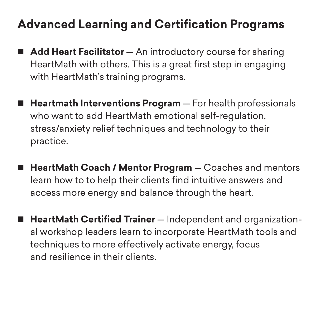# **Advanced Learning and Certification Programs**

- **Add Heart Facilitator** An introductory course for sharing HeartMath with others. This is a great first step in engaging with HeartMath's training programs.
- Heartmath Interventions Program For health professionals who want to add HeartMath emotional self-regulation, stress/anxiety relief techniques and technology to their practice.
- HeartMath Coach / Mentor Program Coaches and mentors learn how to to help their clients find intuitive answers and access more energy and balance through the heart.
- HeartMath Certified Trainer Independent and organizational workshop leaders learn to incorporate HeartMath tools and techniques to more effectively activate energy, focus and resilience in their clients.